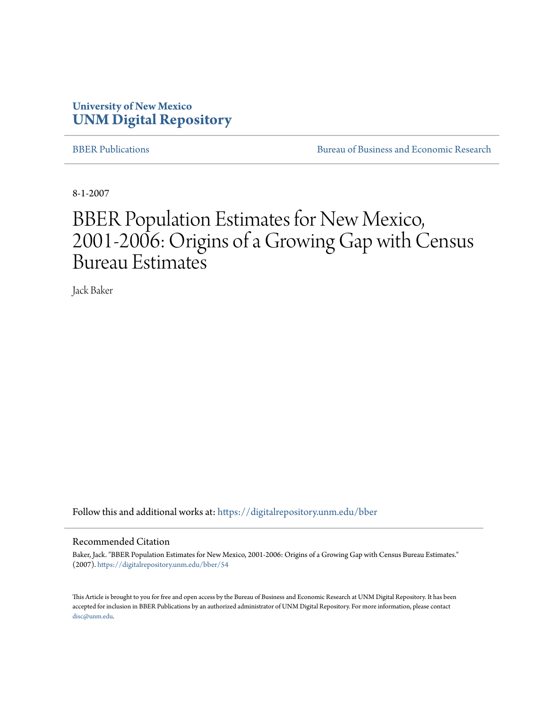#### **University of New Mexico [UNM Digital Repository](https://digitalrepository.unm.edu?utm_source=digitalrepository.unm.edu%2Fbber%2F54&utm_medium=PDF&utm_campaign=PDFCoverPages)**

[BBER Publications](https://digitalrepository.unm.edu/bber?utm_source=digitalrepository.unm.edu%2Fbber%2F54&utm_medium=PDF&utm_campaign=PDFCoverPages) **BUREAU SERVICES** [Bureau of Business and Economic Research](https://digitalrepository.unm.edu/business_economic_research?utm_source=digitalrepository.unm.edu%2Fbber%2F54&utm_medium=PDF&utm_campaign=PDFCoverPages)

8-1-2007

## BBER Population Estimates for New Mexico, 2001-2006: Origins of a Growing Gap with Census Bureau Estimates

Jack Baker

Follow this and additional works at: [https://digitalrepository.unm.edu/bber](https://digitalrepository.unm.edu/bber?utm_source=digitalrepository.unm.edu%2Fbber%2F54&utm_medium=PDF&utm_campaign=PDFCoverPages)

#### Recommended Citation

Baker, Jack. "BBER Population Estimates for New Mexico, 2001-2006: Origins of a Growing Gap with Census Bureau Estimates." (2007). [https://digitalrepository.unm.edu/bber/54](https://digitalrepository.unm.edu/bber/54?utm_source=digitalrepository.unm.edu%2Fbber%2F54&utm_medium=PDF&utm_campaign=PDFCoverPages)

This Article is brought to you for free and open access by the Bureau of Business and Economic Research at UNM Digital Repository. It has been accepted for inclusion in BBER Publications by an authorized administrator of UNM Digital Repository. For more information, please contact [disc@unm.edu](mailto:disc@unm.edu).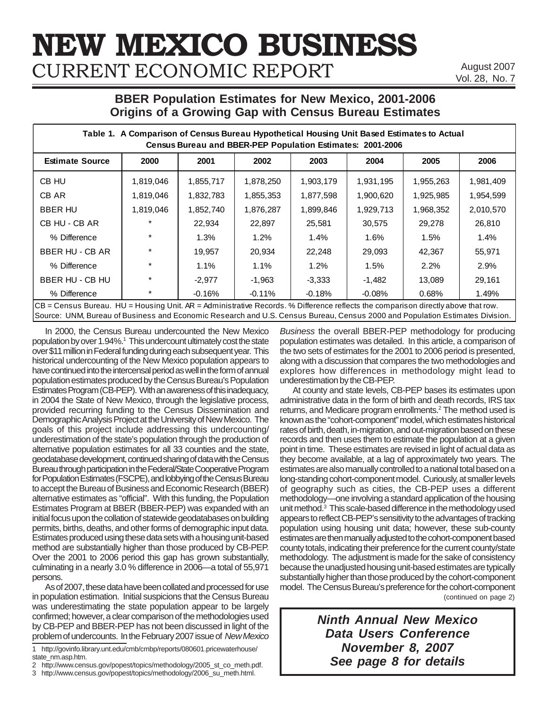# **NEW MEXICO BUSINESS** CURRENT ECONOMIC REPORT

August 2007 Vol. 28, No. 7

#### **BBER Population Estimates for New Mexico, 2001-2006 Origins of a Growing Gap with Census Bureau Estimates**

| Table 1. A Comparison of Census Bureau Hypothetical Housing Unit Based Estimates to Actual<br>Census Bureau and BBER-PEP Population Estimates: 2001-2006                                                                                                          |           |           |           |           |           |           |           |  |  |
|-------------------------------------------------------------------------------------------------------------------------------------------------------------------------------------------------------------------------------------------------------------------|-----------|-----------|-----------|-----------|-----------|-----------|-----------|--|--|
| <b>Estimate Source</b>                                                                                                                                                                                                                                            | 2000      | 2001      | 2002      | 2003      | 2004      | 2005      | 2006      |  |  |
| CB HU                                                                                                                                                                                                                                                             | 1,819,046 | 1,855,717 | 1,878,250 | 1,903,179 | 1,931,195 | 1,955,263 | 1,981,409 |  |  |
| CB AR                                                                                                                                                                                                                                                             | 1,819,046 | 1,832,783 | 1,855,353 | 1,877,598 | 1,900,620 | 1,925,985 | 1,954,599 |  |  |
| <b>BBER HU</b>                                                                                                                                                                                                                                                    | 1,819,046 | 1,852,740 | 1,876,287 | 1,899,846 | 1,929,713 | 1,968,352 | 2,010,570 |  |  |
| CB HU - CB AR                                                                                                                                                                                                                                                     | $\star$   | 22,934    | 22,897    | 25,581    | 30,575    | 29,278    | 26,810    |  |  |
| % Difference                                                                                                                                                                                                                                                      |           | 1.3%      | 1.2%      | $1.4\%$   | 1.6%      | 1.5%      | 1.4%      |  |  |
| BBER HU - CB AR                                                                                                                                                                                                                                                   |           | 19,957    | 20,934    | 22,248    | 29,093    | 42,367    | 55,971    |  |  |
| % Difference                                                                                                                                                                                                                                                      |           | 1.1%      | 1.1%      | 1.2%      | $1.5\%$   | 2.2%      | 2.9%      |  |  |
| BBER HU - CB HU                                                                                                                                                                                                                                                   | $\star$   | $-2,977$  | $-1,963$  | $-3,333$  | $-1,482$  | 13,089    | 29,161    |  |  |
| % Difference                                                                                                                                                                                                                                                      | $\star$   | $-0.16%$  | $-0.11%$  | $-0.18%$  | $-0.08\%$ | 0.68%     | 1.49%     |  |  |
| CB = Census Bureau. HU = Housing Unit. AR = Administrative Records. % Difference reflects the comparison directly above that row.<br>Source: UNM, Bureau of Business and Economic Research and U.S. Census Bureau, Census 2000 and Population Estimates Division. |           |           |           |           |           |           |           |  |  |

In 2000, the Census Bureau undercounted the New Mexico population by over 1.94%.<sup>1</sup> This undercount ultimately cost the state over \$11 million in Federal funding during each subsequent year. This historical undercounting of the New Mexico population appears to have continued into the intercensal period as well in the form of annual population estimates produced by the Census Bureau's Population Estimates Program (CB-PEP). With an awareness of this inadequacy, in 2004 the State of New Mexico, through the legislative process, provided recurring funding to the Census Dissemination and Demographic Analysis Project at the University of New Mexico. The goals of this project include addressing this undercounting/ underestimation of the state's population through the production of alternative population estimates for all 33 counties and the state, geodatabase development, continued sharing of data with the Census Bureau through participation in the Federal/State Cooperative Program for Population Estimates (FSCPE), and lobbying of the Census Bureau to accept the Bureau of Business and Economic Research (BBER) alternative estimates as "official". With this funding, the Population Estimates Program at BBER (BBER-PEP) was expanded with an initial focus upon the collation of statewide geodatabases on building permits, births, deaths, and other forms of demographic input data. Estimates produced using these data sets with a housing unit-based method are substantially higher than those produced by CB-PEP. Over the 2001 to 2006 period this gap has grown substantially, culminating in a nearly 3.0 % difference in 2006—a total of 55,971 persons.

As of 2007, these data have been collated and processed for use in population estimation. Initial suspicions that the Census Bureau was underestimating the state population appear to be largely confirmed; however, a clear comparison of the methodologies used by CB-PEP and BBER-PEP has not been discussed in light of the problem of undercounts. In the February 2007 issue of *New Mexico* *Business* the overall BBER-PEP methodology for producing population estimates was detailed. In this article, a comparison of the two sets of estimates for the 2001 to 2006 period is presented, along with a discussion that compares the two methodologies and explores how differences in methodology might lead to underestimation by the CB-PEP.

(continued on page 2) At county and state levels, CB-PEP bases its estimates upon administrative data in the form of birth and death records, IRS tax returns, and Medicare program enrollments.<sup>2</sup> The method used is known as the "cohort-component" model, which estimates historical rates of birth, death, in-migration, and out-migration based on these records and then uses them to estimate the population at a given point in time. These estimates are revised in light of actual data as they become available, at a lag of approximately two years. The estimates are also manually controlled to a national total based on a long-standing cohort-component model. Curiously, at smaller levels of geography such as cities, the CB-PEP uses a different methodology—one involving a standard application of the housing unit method.<sup>3</sup> This scale-based difference in the methodology used appears to reflect CB-PEP's sensitivity to the advantages of tracking population using housing unit data; however, these sub-county estimates are then manually adjusted to the cohort-component based county totals, indicating their preference for the current county/state methodology. The adjustment is made for the sake of consistency because the unadjusted housing unit-based estimates are typically substantially higher than those produced by the cohort-component model. The Census Bureau's preference for the cohort-component

> *Ninth Annual New Mexico Data Users Conference November 8, 2007 See page 8 for details*

<sup>1</sup> http://govinfo.library.unt.edu/cmb/cmbp/reports/080601.pricewaterhouse/ state\_nm.asp.htm.

<sup>2</sup> http://www.census.gov/popest/topics/methodology/2005\_st\_co\_meth.pdf.

<sup>3</sup> http://www.census.gov/popest/topics/methodology/2006\_su\_meth.html.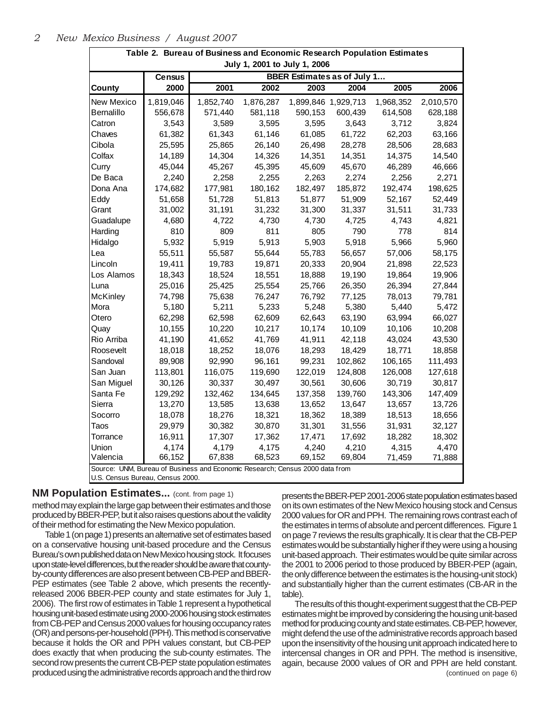| Table 2. Bureau of Business and Economic Research Population Estimates                                           |               |           |                              |                                    |         |           |           |  |
|------------------------------------------------------------------------------------------------------------------|---------------|-----------|------------------------------|------------------------------------|---------|-----------|-----------|--|
|                                                                                                                  |               |           | July 1, 2001 to July 1, 2006 |                                    |         |           |           |  |
|                                                                                                                  | <b>Census</b> |           |                              | <b>BBER Estimates as of July 1</b> |         |           |           |  |
| <b>County</b>                                                                                                    | 2000          | 2001      | 2002                         | 2003                               | 2004    | 2005      | 2006      |  |
| New Mexico                                                                                                       | 1,819,046     | 1,852,740 | 1,876,287                    | 1,899,846 1,929,713                |         | 1,968,352 | 2,010,570 |  |
| Bernalillo                                                                                                       | 556,678       | 571,440   | 581,118                      | 590,153                            | 600,439 | 614,508   | 628,188   |  |
| Catron                                                                                                           | 3,543         | 3,589     | 3,595                        | 3,595                              | 3,643   | 3,712     | 3,824     |  |
| Chaves                                                                                                           | 61,382        | 61,343    | 61,146                       | 61,085                             | 61,722  | 62,203    | 63,166    |  |
| Cibola                                                                                                           | 25,595        | 25,865    | 26,140                       | 26,498                             | 28,278  | 28,506    | 28,683    |  |
| Colfax                                                                                                           | 14,189        | 14,304    | 14,326                       | 14,351                             | 14,351  | 14,375    | 14,540    |  |
| Curry                                                                                                            | 45,044        | 45,267    | 45,395                       | 45,609                             | 45,670  | 46,289    | 46,666    |  |
| De Baca                                                                                                          | 2,240         | 2,258     | 2,255                        | 2,263                              | 2,274   | 2,256     | 2,271     |  |
| Dona Ana                                                                                                         | 174,682       | 177,981   | 180,162                      | 182,497                            | 185,872 | 192,474   | 198,625   |  |
| Eddy                                                                                                             | 51,658        | 51,728    | 51,813                       | 51,877                             | 51,909  | 52,167    | 52,449    |  |
| Grant                                                                                                            | 31,002        | 31,191    | 31,232                       | 31,300                             | 31,337  | 31,511    | 31,733    |  |
| Guadalupe                                                                                                        | 4,680         | 4,722     | 4,730                        | 4,730                              | 4,725   | 4,743     | 4,821     |  |
| Harding                                                                                                          | 810           | 809       | 811                          | 805                                | 790     | 778       | 814       |  |
| Hidalgo                                                                                                          | 5,932         | 5,919     | 5,913                        | 5,903                              | 5,918   | 5,966     | 5,960     |  |
| Lea                                                                                                              | 55,511        | 55,587    | 55,644                       | 55,783                             | 56,657  | 57,006    | 58,175    |  |
| Lincoln                                                                                                          | 19,411        | 19,783    | 19,871                       | 20,333                             | 20,904  | 21,898    | 22,523    |  |
| Los Alamos                                                                                                       | 18,343        | 18,524    | 18,551                       | 18,888                             | 19,190  | 19,864    | 19,906    |  |
| Luna                                                                                                             | 25,016        | 25,425    | 25,554                       | 25,766                             | 26,350  | 26,394    | 27,844    |  |
| McKinley                                                                                                         | 74,798        | 75,638    | 76,247                       | 76,792                             | 77,125  | 78,013    | 79,781    |  |
| Mora                                                                                                             | 5,180         | 5,211     | 5,233                        | 5,248                              | 5,380   | 5,440     | 5,472     |  |
| Otero                                                                                                            | 62,298        | 62,598    | 62,609                       | 62,643                             | 63,190  | 63,994    | 66,027    |  |
| Quay                                                                                                             | 10,155        | 10,220    | 10,217                       | 10,174                             | 10,109  | 10,106    | 10,208    |  |
| Rio Arriba                                                                                                       | 41,190        | 41,652    | 41,769                       | 41,911                             | 42,118  | 43,024    | 43,530    |  |
| Roosevelt                                                                                                        | 18,018        | 18,252    | 18,076                       | 18,293                             | 18,429  | 18,771    | 18,858    |  |
| Sandoval                                                                                                         | 89,908        | 92,990    | 96,161                       | 99,231                             | 102,862 | 106,165   | 111,493   |  |
| San Juan                                                                                                         | 113,801       | 116,075   | 119,690                      | 122,019                            | 124,808 | 126,008   | 127,618   |  |
| San Miguel                                                                                                       | 30,126        | 30,337    | 30,497                       | 30,561                             | 30,606  | 30,719    | 30,817    |  |
| Santa Fe                                                                                                         | 129,292       | 132,462   | 134,645                      | 137,358                            | 139,760 | 143,306   | 147,409   |  |
| Sierra                                                                                                           | 13,270        | 13,585    | 13,638                       | 13,652                             | 13,647  | 13,657    | 13,726    |  |
| Socorro                                                                                                          | 18,078        | 18,276    | 18,321                       | 18,362                             | 18,389  | 18,513    | 18,656    |  |
| Taos                                                                                                             | 29,979        | 30,382    | 30,870                       | 31,301                             | 31,556  | 31,931    | 32,127    |  |
| Torrance                                                                                                         | 16,911        | 17,307    | 17,362                       | 17,471                             | 17,692  | 18,282    | 18,302    |  |
| Union                                                                                                            | 4,174         | 4,179     | 4,175                        | 4,240                              | 4,210   | 4,315     | 4,470     |  |
| Valencia                                                                                                         | 66,152        | 67,838    | 68,523                       | 69,152                             | 69,804  | 71,459    | 71,888    |  |
| Source: UNM, Bureau of Business and Economic Research; Census 2000 data from<br>U.S. Census Bureau, Census 2000. |               |           |                              |                                    |         |           |           |  |

**NM Population Estimates...** (cont. from page 1) method may explain the large gap between their estimates and those produced by BBER-PEP, but it also raises questions about the validity of their method for estimating the New Mexico population.

Table 1 (on page 1) presents an alternative set of estimates based on a conservative housing unit-based procedure and the Census Bureau's own published data on New Mexico housing stock. It focuses upon state-level differences, but the reader should be aware that countyby-county differences are also present between CB-PEP and BBER-PEP estimates (see Table 2 above, which presents the recentlyreleased 2006 BBER-PEP county and state estimates for July 1, 2006). The first row of estimates in Table 1 represent a hypothetical housing unit-based estimate using 2000-2006 housing stock estimates from CB-PEP and Census 2000 values for housing occupancy rates (OR) and persons-per-household (PPH). This method is conservative because it holds the OR and PPH values constant, but CB-PEP does exactly that when producing the sub-county estimates. The second row presents the current CB-PEP state population estimates produced using the administrative records approach and the third row presents the BBER-PEP 2001-2006 state population estimates based on its own estimates of the New Mexico housing stock and Census 2000 values for OR and PPH. The remaining rows contrast each of the estimates in terms of absolute and percent differences. Figure 1 on page 7reviews the results graphically. It is clear that the CB-PEP estimates would be substantially higher if they were using a housing unit-based approach. Their estimates would be quite similar across the 2001 to 2006 period to those produced by BBER-PEP (again, the only difference between the estimates is the housing-unit stock) and substantially higher than the current estimates (CB-AR in the table).

(continued on page 6) The results of this thought-experiment suggest that the CB-PEP estimates might be improved by considering the housing unit-based method for producing county and state estimates. CB-PEP, however, might defend the use of the administrative records approach based upon the insensitivity of the housing unit approach indicated here to intercensal changes in OR and PPH. The method is insensitive, again, because 2000 values of OR and PPH are held constant.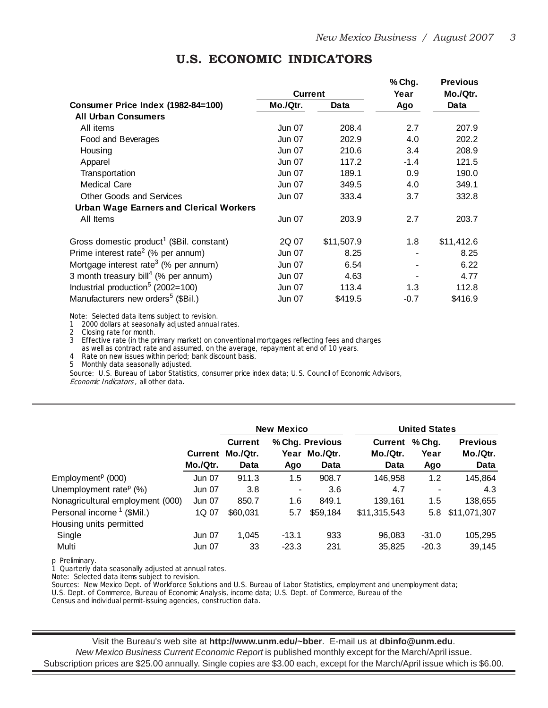|                                                       |               |            | % Chg. | <b>Previous</b> |
|-------------------------------------------------------|---------------|------------|--------|-----------------|
|                                                       | Current       |            | Year   | Mo./Qtr.        |
| Consumer Price Index (1982-84=100)                    | Mo./Qtr.      | Data       | Ago    | Data            |
| <b>All Urban Consumers</b>                            |               |            |        |                 |
| All items                                             | Jun 07        | 208.4      | 2.7    | 207.9           |
| Food and Beverages                                    | Jun 07        | 202.9      | 4.0    | 202.2           |
| Housing                                               | Jun 07        | 210.6      | 3.4    | 208.9           |
| Apparel                                               | Jun 07        | 117.2      | $-1.4$ | 121.5           |
| Transportation                                        | Jun 07        | 189.1      | 0.9    | 190.0           |
| <b>Medical Care</b>                                   | Jun 07        | 349.5      | 4.0    | 349.1           |
| <b>Other Goods and Services</b>                       | Jun 07        | 333.4      | 3.7    | 332.8           |
| <b>Urban Wage Earners and Clerical Workers</b>        |               |            |        |                 |
| All Items                                             | Jun 07        | 203.9      | 2.7    | 203.7           |
| Gross domestic product <sup>1</sup> (\$Bil. constant) | 2Q 07         | \$11,507.9 | 1.8    | \$11,412.6      |
| Prime interest rate <sup>2</sup> (% per annum)        | Jun 07        | 8.25       |        | 8.25            |
| Mortgage interest rate <sup>3</sup> (% per annum)     | Jun 07        | 6.54       |        | 6.22            |
| 3 month treasury bill <sup>4</sup> (% per annum)      | Jun 07        | 4.63       |        | 4.77            |
| Industrial production <sup>5</sup> (2002=100)         | Jun 07        | 113.4      | 1.3    | 112.8           |
| Manufacturers new orders <sup>5</sup> (\$Bil.)        | <b>Jun 07</b> | \$419.5    | $-0.7$ | \$416.9         |

#### **U.S. ECONOMIC INDICATORS**

Note: Selected data items subject to revision.

1 2000 dollars at seasonally adjusted annual rates.

2 Closing rate for month.

3 Effective rate (in the primary market) on conventional mortgages reflecting fees and charges as well as contract rate and assumed, on the average, repayment at end of 10 years.

4 Rate on new issues within period; bank discount basis.

5 Monthly data seasonally adjusted.

Source: U.S. Bureau of Labor Statistics, consumer price index data; U.S. Council of Economic Advisors, Economic Indicators , all other data.

|                                       |                            |                                           | New Mexico     |                                     |                             |                         | <b>United States</b>                |  |  |
|---------------------------------------|----------------------------|-------------------------------------------|----------------|-------------------------------------|-----------------------------|-------------------------|-------------------------------------|--|--|
|                                       | <b>Current</b><br>Mo./Qtr. | <b>Current</b><br>Mo./Qtr.<br><b>Data</b> | Year<br>Ago    | % Chg. Previous<br>Mo./Qtr.<br>Data | Current<br>Mo./Qtr.<br>Data | $%$ Chg.<br>Year<br>Ago | <b>Previous</b><br>Mo./Qtr.<br>Data |  |  |
| Employment <sup>p</sup> (000)         | <b>Jun 07</b>              | 911.3                                     | 1.5            | 908.7                               | 146,958                     | 1.2                     | 145,864                             |  |  |
| Unemployment rate <sup>p</sup> $(\%)$ | <b>Jun 07</b>              | 3.8                                       | $\blacksquare$ | 3.6                                 | 4.7                         |                         | 4.3                                 |  |  |
| Nonagricultural employment (000)      | <b>Jun 07</b>              | 850.7                                     | 1.6            | 849.1                               | 139,161                     | 1.5                     | 138,655                             |  |  |
| Personal income <sup>1</sup> (\$Mil.) | 1Q 07                      | \$60,031                                  | 5.7            | \$59,184                            | \$11,315,543                | 5.8                     | \$11,071,307                        |  |  |
| Housing units permitted               |                            |                                           |                |                                     |                             |                         |                                     |  |  |
| Single                                | Jun 07                     | 1,045                                     | $-13.1$        | 933                                 | 96,083                      | $-31.0$                 | 105,295                             |  |  |
| Multi                                 | <b>Jun 07</b>              | 33                                        | $-23.3$        | 231                                 | 35,825                      | $-20.3$                 | 39,145                              |  |  |

p Preliminary.

1 Quarterly data seasonally adjusted at annual rates.

Note: Selected data items subject to revision.

Sources: New Mexico Dept. of Workforce Solutions and U.S. Bureau of Labor Statistics, employment and unemployment data;

U.S. Dept. of Commerce, Bureau of Economic Analysis, income data; U.S. Dept. of Commerce, Bureau of the

Census and individual permit-issuing agencies, construction data.

Visit the Bureau's web site at **http://www.unm.edu/~bber**. E-mail us at **dbinfo@unm.edu**. *New Mexico Business Current Economic Report* is published monthly except for the March/April issue. Subscription prices are \$25.00 annually. Single copies are \$3.00 each, except for the March/April issue which is \$6.00.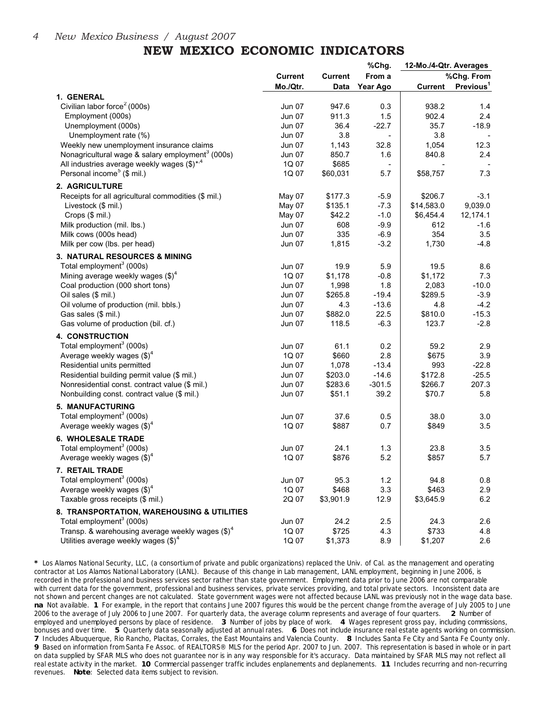### **NEW MEXICO ECONOMIC INDICATORS**

|                                                                        |                |                | %Chg.          | 12-Mo./4-Qtr. Averages |                       |
|------------------------------------------------------------------------|----------------|----------------|----------------|------------------------|-----------------------|
|                                                                        | <b>Current</b> | <b>Current</b> | From a         |                        | %Chg. From            |
|                                                                        | Mo./Qtr.       | Data           | Year Ago       | <b>Current</b>         | Previous <sup>1</sup> |
| 1. GENERAL                                                             |                |                |                |                        |                       |
| Civilian labor force <sup>2</sup> (000s)                               | Jun 07         | 947.6          | 0.3            | 938.2                  | 1.4                   |
| Employment (000s)                                                      | <b>Jun 07</b>  | 911.3          | 1.5            | 902.4                  | 2.4                   |
| Unemployment (000s)                                                    | Jun 07         | 36.4           | $-22.7$        | 35.7                   | $-18.9$               |
| Unemployment rate (%)                                                  | <b>Jun 07</b>  | 3.8            |                | 3.8                    |                       |
| Weekly new unemployment insurance claims                               | <b>Jun 07</b>  | 1,143          | 32.8           | 1,054                  | 12.3                  |
| Nonagricultural wage & salary employment <sup>3</sup> (000s)           | <b>Jun 07</b>  | 850.7          | 1.6            | 840.8                  | 2.4                   |
| All industries average weekly wages $(\text{$}^{\ast})^*$ <sup>4</sup> | 1Q 07          | \$685          | $\blacksquare$ |                        |                       |
| Personal income <sup>5</sup> (\$ mil.)                                 | 1Q 07          | \$60,031       | 5.7            | \$58,757               | 7.3                   |
| 2. AGRICULTURE                                                         |                |                |                |                        |                       |
| Receipts for all agricultural commodities (\$ mil.)                    | May 07         | \$177.3        | $-5.9$         | \$206.7                | $-3.1$                |
| Livestock (\$ mil.)                                                    | May 07         | \$135.1        | $-7.3$         | \$14,583.0             | 9,039.0               |
| Crops (\$ mil.)                                                        | May 07         | \$42.2         | $-1.0$         | \$6,454.4              | 12,174.1              |
| Milk production (mil. lbs.)                                            | <b>Jun 07</b>  | 608            | $-9.9$         | 612                    | $-1.6$                |
| Milk cows (000s head)                                                  | Jun 07         | 335            | $-6.9$         | 354                    | 3.5                   |
| Milk per cow (lbs. per head)                                           | Jun 07         | 1,815          | $-3.2$         | 1,730                  | $-4.8$                |
| 3. NATURAL RESOURCES & MINING                                          |                |                |                |                        |                       |
| Total employment <sup>3</sup> (000s)                                   |                |                |                |                        |                       |
|                                                                        | <b>Jun 07</b>  | 19.9           | 5.9            | 19.5                   | 8.6                   |
| Mining average weekly wages $(\text{$\$})^4$                           | 1Q 07          | \$1,178        | $-0.8$         | \$1,172                | 7.3                   |
| Coal production (000 short tons)                                       | Jun 07         | 1,998          | 1.8            | 2,083                  | $-10.0$               |
| Oil sales (\$ mil.)                                                    | <b>Jun 07</b>  | \$265.8        | $-19.4$        | \$289.5                | $-3.9$                |
| Oil volume of production (mil. bbls.)                                  | Jun 07         | 4.3            | $-13.6$        | 4.8                    | $-4.2$                |
| Gas sales (\$ mil.)                                                    | <b>Jun 07</b>  | \$882.0        | 22.5           | \$810.0                | $-15.3$               |
| Gas volume of production (bil. cf.)                                    | Jun 07         | 118.5          | $-6.3$         | 123.7                  | $-2.8$                |
| <b>4. CONSTRUCTION</b>                                                 |                |                |                |                        |                       |
| Total employment <sup>3</sup> (000s)                                   | Jun 07         | 61.1           | 0.2            | 59.2                   | 2.9                   |
| Average weekly wages $(\text{$\$})^4$                                  | 1Q 07          | \$660          | 2.8            | \$675                  | 3.9                   |
| Residential units permitted                                            | Jun 07         | 1,078          | $-13.4$        | 993                    | $-22.8$               |
| Residential building permit value (\$ mil.)                            | Jun 07         | \$203.0        | $-14.6$        | \$172.8                | $-25.5$               |
| Nonresidential const. contract value (\$ mil.)                         | Jun 07         | \$283.6        | $-301.5$       | \$266.7                | 207.3                 |
| Nonbuilding const. contract value (\$ mil.)                            | Jun 07         | \$51.1         | 39.2           | \$70.7                 | 5.8                   |
| 5. MANUFACTURING                                                       |                |                |                |                        |                       |
| Total employment <sup>3</sup> (000s)                                   | Jun 07         | 37.6           | 0.5            | 38.0                   | 3.0                   |
| Average weekly wages $(\text{$\$})^4$                                  | 1Q 07          | \$887          | 0.7            | \$849                  | 3.5                   |
| <b>6. WHOLESALE TRADE</b>                                              |                |                |                |                        |                       |
| Total employment <sup>3</sup> (000s)                                   | <b>Jun 07</b>  | 24.1           | 1.3            | 23.8                   | 3.5                   |
| Average weekly wages $(\text{$\$})^4$                                  | 1Q 07          | \$876          | 5.2            | \$857                  | 5.7                   |
| 7. RETAIL TRADE                                                        |                |                |                |                        |                       |
| Total employment <sup>3</sup> (000s)                                   | Jun 07         | 95.3           | 1.2            | 94.8                   | 0.8                   |
| Average weekly wages $(\text{$\$})^4$                                  | 1Q 07          | \$468          | 3.3            | \$463                  | 2.9                   |
| Taxable gross receipts (\$ mil.)                                       | 2Q 07          | \$3,901.9      | 12.9           | \$3,645.9              | 6.2                   |
| 8. TRANSPORTATION, WAREHOUSING & UTILITIES                             |                |                |                |                        |                       |
| Total employment <sup>3</sup> (000s)                                   | Jun 07         | 24.2           | 2.5            | 24.3                   | 2.6                   |
| Transp. & warehousing average weekly wages $(\text{$\$})^4$            | 1Q 07          | \$725          | 4.3            | \$733                  | 4.8                   |
| Utilities average weekly wages $(\text{$\$})^4$                        | 1Q 07          | \$1,373        | 8.9            | \$1,207                | 2.6                   |

**\*** Los Alamos National Security, LLC, (a consortium of private and public organizations) replaced the Univ. of Cal. as the management and operating contractor at Los Alamos National Laboratory (LANL). Because of this change in Lab management, LANL employment, beginning in June 2006, is recorded in the professional and business services sector rather than state government. Employment data prior to June 2006 are not comparable with current data for the government, professional and business services, private services providing, and total private sectors. Inconsistent data are not shown and percent changes are not calculated. State government wages were not affected because LANL was previously not in the wage data base. **na** Not available. **1** For example, in the report that contains June 2007 figures this would be the percent change from the average of July 2005 to June 2006 to the average of July 2006 to June 2007. For quarterly data, the average column represents and average of four quarters. **2** Number of employed and unemployed persons by place of residence. **3** Number of jobs by place of work. **4** Wages represent gross pay, including commissions, bonuses and over time. **5** Quarterly data seasonally adjusted at annual rates. **6** Does not include insurance real estate agents working on commission. **7** Includes Albuquerque, Rio Rancho, Placitas, Corrales, the East Mountains and Valencia County. **8** Includes Santa Fe City and Santa Fe County only. **9** Based on information from Santa Fe Assoc. of REALTORS® MLS for the period Apr. 2007 to Jun. 2007. This representation is based in whole or in part on data supplied by SFAR MLS who does not guarantee nor is in any way responsible for it's accuracy. Data maintained by SFAR MLS may not reflect all real estate activity in the market. **10** Commercial passenger traffic includes enplanements and deplanements. **11** Includes recurring and non-recurring revenues. **Note**: Selected data items subject to revision.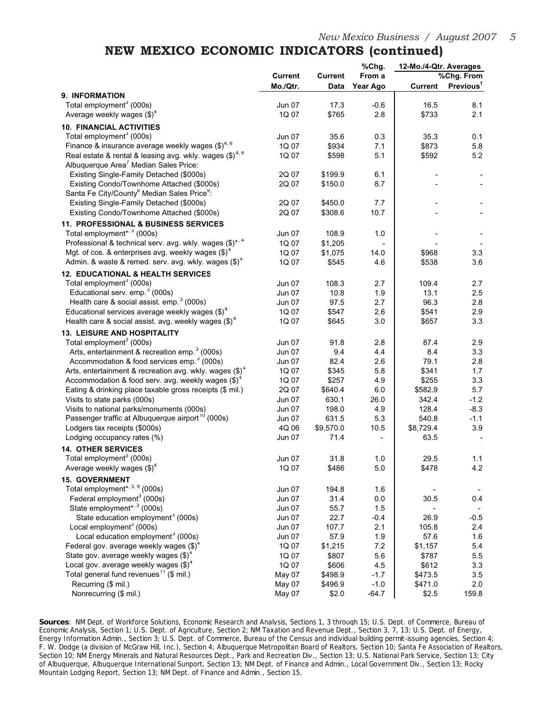#### **NEW MEXICO ECONOMIC INDICATORS (continued)**

|                                                                      |                |                | %Chg.    | 12-Mo./4-Qtr. Averages |                       |
|----------------------------------------------------------------------|----------------|----------------|----------|------------------------|-----------------------|
|                                                                      | <b>Current</b> | <b>Current</b> | From a   |                        | %Chg. From            |
|                                                                      | Mo./Qtr.       | Data           | Year Ago | Current                | Previous <sup>1</sup> |
| 9. INFORMATION                                                       |                |                |          |                        |                       |
| Total employment <sup>3</sup> (000s)                                 | Jun 07         | 17.3           | $-0.6$   | 16.5                   | 8.1                   |
| Average weekly wages $(\text{$\$})^4$                                | 1Q 07          | \$765          | 2.8      | \$733                  | 2.1                   |
| <b>10. FINANCIAL ACTIVITIES</b>                                      |                |                |          |                        |                       |
| Total employment <sup>3</sup> (000s)                                 | <b>Jun 07</b>  | 35.6           | 0.3      | 35.3                   | 0.1                   |
| Finance & insurance average weekly wages $(\text{$\$})^{4,6}$        | 1Q 07          | \$934          | 7.1      | \$873                  | 5.8                   |
| Real estate & rental & leasing avg. wkly. wages (\$) <sup>4, 6</sup> | 1Q 07          | \$598          | 5.1      | \$592                  | 5.2                   |
| Albuquerque Area <sup>'</sup> Median Sales Price:                    |                |                |          |                        |                       |
| Existing Single-Family Detached (\$000s)                             | 2Q 07          | \$199.9        | 6.1      |                        |                       |
| Existing Condo/Townhome Attached (\$000s)                            | 2Q 07          | \$150.0        | 8.7      |                        |                       |
| Santa Fe City/County <sup>8</sup> Median Sales Price <sup>9</sup> :  |                |                |          |                        |                       |
| Existing Single-Family Detached (\$000s)                             | 2Q 07          | \$450.0        | 7.7      |                        |                       |
| Existing Condo/Townhome Attached (\$000s)                            | 2Q 07          | \$308.6        | 10.7     |                        |                       |
| 11. PROFESSIONAL & BUSINESS SERVICES                                 |                |                |          |                        |                       |
| Total employment* <sup>3</sup> (000s)                                | <b>Jun 07</b>  | 108.9          | 1.0      |                        |                       |
| Professional & technical serv. avg. wkly. wages (\$)*, 4             | 1Q 07          | \$1,205        |          |                        |                       |
| Mgt. of cos. & enterprises avg. weekly wages $(\text{$\$})^4$        | 1Q 07          | \$1,075        | 14.0     | \$968                  | 3.3                   |
| Admin. & waste & remed. serv. avg. wkly. wages $(\text{$\$})^4$      | 1Q 07          | \$545          | 4.6      | \$538                  | 3.6                   |
| 12. EDUCATIONAL & HEALTH SERVICES                                    |                |                |          |                        |                       |
| Total employment <sup>3</sup> (000s)                                 | Jun 07         | 108.3          | 2.7      | 109.4                  | 2.7                   |
| Educational serv. emp. <sup>3</sup> (000s)                           | Jun 07         | 10.8           | 1.9      | 13.1                   | 2.5                   |
| Health care & social assist. emp. <sup>3</sup> (000s)                | <b>Jun 07</b>  | 97.5           | 2.7      | 96.3                   | 2.8                   |
| Educational services average weekly wages $(\text{$\$})^4$           | 1Q 07          | \$547          | 2.6      | \$541                  | 2.9                   |
| Health care & social assist. avg. weekly wages $(\text{$\$})^4$      | 1Q 07          | \$645          | 3.0      | \$657                  | 3.3                   |
| 13. LEISURE AND HOSPITALITY                                          |                |                |          |                        |                       |
| Total employment <sup>3</sup> (000s)                                 | Jun 07         | 91.8           | 2.8      | 87.4                   | 2.9                   |
| Arts, entertainment & recreation emp. <sup>3</sup> (000s)            | Jun 07         | 9.4            | 4.4      | 8.4                    | 3.3                   |
| Accommodation & food services emp. <sup>3</sup> (000s)               | <b>Jun 07</b>  | 82.4           | 2.6      | 79.1                   | 2.8                   |
| Arts, entertainment & recreation avg. wkly. wages $(\text{$\$})^4$   | 1Q 07          | \$345          | 5.8      | \$341                  | 1.7                   |
| Accommodation & food serv. avg. weekly wages $(\text{$\$})^4$        | 1Q 07          | \$257          | 4.9      | \$255                  | 3.3                   |
| Eating & drinking place taxable gross receipts (\$ mil.)             | 2Q 07          | \$640.4        | 6.0      | \$582.9                | 5.7                   |
| Visits to state parks (000s)                                         | Jun 07         | 630.1          | 26.0     | 342.4                  | $-1.2$                |
| Visits to national parks/monuments (000s)                            | <b>Jun 07</b>  | 198.0          | 4.9      | 128.4                  | $-8.3$                |
| Passenger traffic at Albuquerque airport <sup>10</sup> (000s)        | <b>Jun 07</b>  | 631.5          | 5.3      | 540.8                  | $-1.1$                |
| Lodgers tax receipts (\$000s)                                        | 4Q 06          | \$9,570.0      | 10.5     | \$8,729.4              | 3.9                   |
| Lodging occupancy rates (%)                                          | <b>Jun 07</b>  | 71.4           |          | 63.5                   |                       |
| <b>14. OTHER SERVICES</b>                                            |                |                |          |                        |                       |
| Total employment <sup>3</sup> (000s)                                 | Jun 07         | 31.8           | 1.0      | 29.5                   | 1.1                   |
| Average weekly wages $(\text{$\$})^4$                                | 1Q 07          | \$486          | 5.0      | \$478                  | 4.2                   |
| <b>15. GOVERNMENT</b>                                                |                |                |          |                        |                       |
| Total employment*, 3, 9 (000s)                                       | Jun 07         | 194.8          | 1.6      |                        |                       |
| Federal employment <sup>3</sup> (000s)                               | Jun 07         | 31.4           | 0.0      | 30.5                   | 0.4                   |
| State employment* <sup>3</sup> (000s)                                | Jun 07         | 55.7           | 1.5      |                        | $\blacksquare$        |
| State education employment <sup>3</sup> (000s)                       | <b>Jun 07</b>  | 22.7           | $-0.4$   | 26.9                   | $-0.5$                |
| Local employment <sup>3</sup> (000s)                                 | Jun 07         | 107.7          | 2.1      | 105.8                  | 2.4                   |
| Local education employment <sup>3</sup> (000s)                       | Jun 07         | 57.9           | 1.9      | 57.6                   | 1.6                   |
| Federal gov. average weekly wages $(\text{$\$})^4$                   | 1Q 07          | \$1,215        | 7.2      | \$1,157                | 5.4                   |
| State gov. average weekly wages (\$) <sup>4</sup>                    | 1Q 07          | \$807          | 5.6      | \$787                  | 5.5                   |
| Local gov. average weekly wages $(\text{$\$})^4$                     | 1Q 07          | \$606          | 4.5      | \$612                  | 3.3                   |
| Total general fund revenues <sup>11</sup> (\$ mil.)                  | May 07         | \$498.9        | $-1.7$   | \$473.5                | 3.5                   |
| Recurring (\$ mil.)                                                  | May 07         | \$496.9        | $-1.0$   | \$471.0                | 2.0                   |
| Nonrecurring (\$ mil.)                                               | May 07         | \$2.0          | $-64.7$  | \$2.5                  | 159.8                 |

**Sources**: NM Dept. of Workforce Solutions, Economic Research and Analysis, Sections 1, 3 through 15; U.S. Dept. of Commerce, Bureau of Economic Analysis, Section 1; U.S. Dept. of Agriculture, Section 2; NM Taxation and Revenue Dept., Section 3, 7, 13; U.S. Dept. of Energy, Energy Information Admin., Section 3; U.S. Dept. of Commerce, Bureau of the Census and individual building permit-issuing agencies, Section 4; F. W. Dodge (a division of McGraw Hill, Inc.), Section 4; Albuquerque Metropolitan Board of Realtors, Section 10; Santa Fe Association of Realtors, Section 10; NM Energy Minerals and Natural Resources Dept., Park and Recreation Div., Section 13; U.S. National Park Service, Section 13; City of Albuquerque, Albuquerque International Sunport, Section 13; NM Dept. of Finance and Admin., Local Government Div., Section 13; Rocky Mountain Lodging Report, Section 13; NM Dept. of Finance and Admin., Section 15.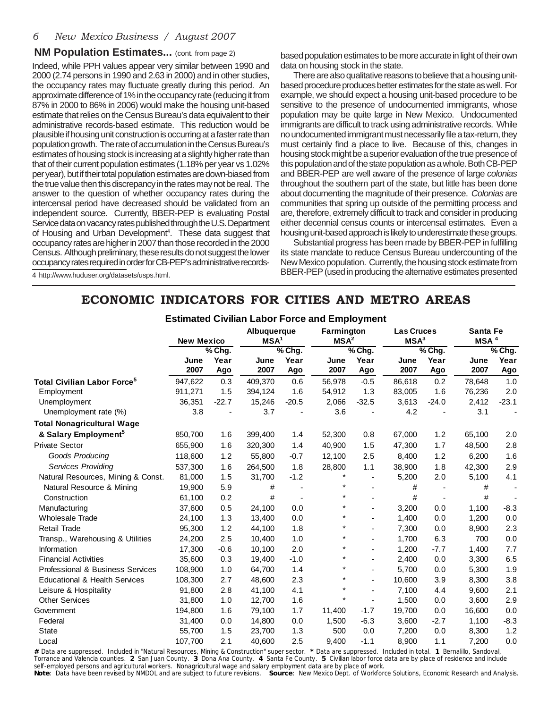#### **NM Population Estimates...** (cont. from page 2)

Indeed, while PPH values appear very similar between 1990 and 2000 (2.74 persons in 1990 and 2.63 in 2000) and in other studies, the occupancy rates may fluctuate greatly during this period. An approximate difference of 1% in the occupancy rate (reducing it from 87% in 2000 to 86% in 2006) would make the housing unit-based estimate that relies on the Census Bureau's data equivalent to their administrative records-based estimate. This reduction would be plausible if housing unit construction is occurring at a faster rate than population growth. The rate of accumulation in the Census Bureau's estimates of housing stock is increasing at a slightly higher rate than that of their current population estimates (1.18% per year vs 1.02% per year), but if their total population estimates are down-biased from the true value then this discrepancy in the rates may not be real. The answer to the question of whether occupancy rates during the intercensal period have decreased should be validated from an independent source. Currently, BBER-PEP is evaluating Postal Service data on vacancy rates published through the U.S. Department of Housing and Urban Development<sup>4</sup>. These data suggest that occupancy rates are higher in 2007 than those recorded in the 2000 Census. Although preliminary, these results do not suggest the lower occupancy rates required in order for CB-PEP's administrative records-

based population estimates to be more accurate in light of their own data on housing stock in the state.

There are also qualitative reasons to believe that a housing unitbased procedure produces better estimates for the state as well. For example, we should expect a housing unit-based procedure to be sensitive to the presence of undocumented immigrants, whose population may be quite large in New Mexico. Undocumented immigrants are difficult to track using administrative records. While no undocumented immigrant must necessarily file a tax-return, they must certainly find a place to live. Because of this, changes in housing stock might be a superior evaluation of the true presence of this population and of the state population as a whole. Both CB-PEP and BBER-PEP are well aware of the presence of large *colonias* throughout the southern part of the state, but little has been done about documenting the magnitude of their presence. *Colonias* are communities that spring up outside of the permitting process and are, therefore, extremely difficult to track and consider in producing either decennial census counts or intercensal estimates. Even a housing unit-based approach is likely to underestimate these groups.

Substantial progress has been made by BBER-PEP in fulfilling its state mandate to reduce Census Bureau undercounting of the New Mexico population. Currently, the housing stock estimate from BBER-PEP (used in producing the alternative estimates presented

4 http://www.huduser.org/datasets/usps.html.

#### **ECONOMIC INDICATORS FOR CITIES AND METRO AREAS**

|                                             | <b>New Mexico</b> |          | Albuquerque<br>MSA <sup>1</sup> |          |         | Farmington<br>MSA <sup>2</sup> |        | <b>Las Cruces</b><br>MSA <sup>3</sup> |        | Santa Fe<br>MSA <sup>4</sup> |  |
|---------------------------------------------|-------------------|----------|---------------------------------|----------|---------|--------------------------------|--------|---------------------------------------|--------|------------------------------|--|
|                                             |                   | $%$ Chg. |                                 | $%$ Chg. |         | $%$ Chg.                       |        | $\sqrt%$ Chg.                         |        | $%$ Chg.                     |  |
|                                             | June              | Year     | June                            | Year     | June    | Year                           | June   | Year                                  | June   | Year                         |  |
|                                             | 2007              | Ago      | 2007                            | Ago      | 2007    | Ago                            | 2007   | Ago                                   | 2007   | Ago                          |  |
| Total Civilian Labor Force <sup>5</sup>     | 947,622           | 0.3      | 409,370                         | 0.6      | 56,978  | $-0.5$                         | 86,618 | 0.2                                   | 78,648 | 1.0                          |  |
| Employment                                  | 911,271           | 1.5      | 394,124                         | 1.6      | 54,912  | 1.3                            | 83,005 | 1.6                                   | 76,236 | 2.0                          |  |
| Unemployment                                | 36,351            | $-22.7$  | 15,246                          | $-20.5$  | 2,066   | $-32.5$                        | 3,613  | $-24.0$                               | 2,412  | $-23.1$                      |  |
| Unemployment rate (%)                       | 3.8               |          | 3.7                             |          | 3.6     |                                | 4.2    |                                       | 3.1    |                              |  |
| <b>Total Nonagricultural Wage</b>           |                   |          |                                 |          |         |                                |        |                                       |        |                              |  |
| & Salary Employment <sup>5</sup>            | 850,700           | 1.6      | 399,400                         | 1.4      | 52,300  | 0.8                            | 67,000 | 1.2                                   | 65,100 | 2.0                          |  |
| <b>Private Sector</b>                       | 655,900           | 1.6      | 320,300                         | 1.4      | 40,900  | 1.5                            | 47,300 | 1.7                                   | 48,500 | 2.8                          |  |
| Goods Producing                             | 118,600           | 1.2      | 55,800                          | $-0.7$   | 12,100  | 2.5                            | 8,400  | 1.2                                   | 6,200  | 1.6                          |  |
| <b>Services Providing</b>                   | 537,300           | 1.6      | 264,500                         | 1.8      | 28,800  | 1.1                            | 38,900 | 1.8                                   | 42,300 | 2.9                          |  |
| Natural Resources, Mining & Const.          | 81,000            | 1.5      | 31,700                          | $-1.2$   |         |                                | 5,200  | 2.0                                   | 5,100  | 4.1                          |  |
| Natural Resource & Mining                   | 19,900            | 5.9      | #                               |          | $\ast$  |                                | #      |                                       | #      |                              |  |
| Construction                                | 61,100            | 0.2      | #                               |          | $\star$ | $\overline{\phantom{a}}$       | #      |                                       | #      |                              |  |
| Manufacturing                               | 37,600            | 0.5      | 24,100                          | 0.0      | $\star$ | $\overline{\phantom{0}}$       | 3,200  | 0.0                                   | 1,100  | $-8.3$                       |  |
| <b>Wholesale Trade</b>                      | 24,100            | 1.3      | 13,400                          | 0.0      | $\star$ | ٠                              | 1,400  | 0.0                                   | 1,200  | 0.0                          |  |
| <b>Retail Trade</b>                         | 95,300            | 1.2      | 44,100                          | 1.8      | $\star$ | ٠                              | 7,300  | 0.0                                   | 8,900  | 2.3                          |  |
| Transp., Warehousing & Utilities            | 24,200            | 2.5      | 10,400                          | 1.0      | $\star$ | $\overline{\phantom{0}}$       | 1,700  | 6.3                                   | 700    | 0.0                          |  |
| Information                                 | 17,300            | $-0.6$   | 10,100                          | 2.0      | $\star$ | $\overline{\phantom{0}}$       | 1,200  | $-7.7$                                | 1,400  | 7.7                          |  |
| <b>Financial Activities</b>                 | 35,600            | 0.3      | 19,400                          | $-1.0$   | $\star$ | ٠                              | 2,400  | 0.0                                   | 3,300  | 6.5                          |  |
| <b>Professional &amp; Business Services</b> | 108,900           | 1.0      | 64,700                          | 1.4      |         | $\overline{\phantom{a}}$       | 5,700  | 0.0                                   | 5,300  | 1.9                          |  |
| <b>Educational &amp; Health Services</b>    | 108,300           | 2.7      | 48,600                          | 2.3      | $\ast$  | $\overline{\phantom{a}}$       | 10,600 | 3.9                                   | 8,300  | 3.8                          |  |
| Leisure & Hospitality                       | 91,800            | 2.8      | 41,100                          | 4.1      | $\star$ |                                | 7,100  | 4.4                                   | 9,600  | 2.1                          |  |
| <b>Other Services</b>                       | 31,800            | 1.0      | 12,700                          | 1.6      |         | $\overline{a}$                 | 1,500  | 0.0                                   | 3,600  | 2.9                          |  |
| Government                                  | 194,800           | 1.6      | 79,100                          | 1.7      | 11,400  | $-1.7$                         | 19,700 | 0.0                                   | 16,600 | 0.0                          |  |
| Federal                                     | 31,400            | 0.0      | 14,800                          | 0.0      | 1,500   | $-6.3$                         | 3,600  | $-2.7$                                | 1,100  | $-8.3$                       |  |
| <b>State</b>                                | 55,700            | 1.5      | 23,700                          | 1.3      | 500     | 0.0                            | 7,200  | 0.0                                   | 8,300  | 1.2                          |  |
| Local                                       | 107,700           | 2.1      | 40,600                          | 2.5      | 9,400   | $-1.1$                         | 8,900  | 1.1                                   | 7,200  | 0.0                          |  |

**Estimated Civilian Labor Force and Employment**

**#** Data are suppressed. Included in "Natural Resources, Mining & Construction" super sector. **\*** Data are suppressed. Included in total. **1** Bernalillo, Sandoval, Torrance and Valencia counties. **2** San Juan County. **3** Dona Ana County. **4** Santa Fe County. **5** Civilian labor force data are by place of residence and include self-employed persons and agricultural workers. Nonagricultural wage and salary employment data are by place of work. **Note**: Data have been revised by NMDOL and are subject to future revisions. **Source**: New Mexico Dept. of Workforce Solutions, Economic Research and Analysis.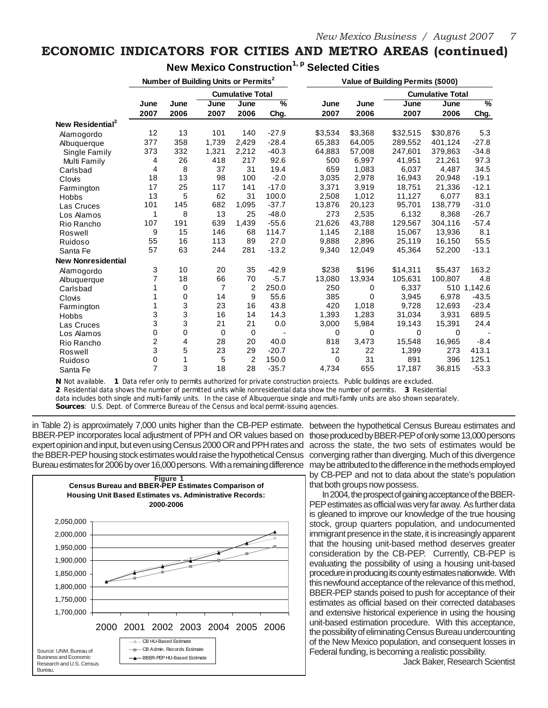#### **ECONOMIC INDICATORS FOR CITIES AND METRO AREAS (continued)**

|                              | Number of Building Units or Permits <sup>2</sup> |              |              |                         |           |              |              | Value of Building Permits (\$000) |                         |                       |
|------------------------------|--------------------------------------------------|--------------|--------------|-------------------------|-----------|--------------|--------------|-----------------------------------|-------------------------|-----------------------|
|                              |                                                  |              |              | <b>Cumulative Total</b> |           |              |              |                                   | <b>Cumulative Total</b> |                       |
|                              | June<br>2007                                     | June<br>2006 | June<br>2007 | June<br>2006            | %<br>Chg. | June<br>2007 | June<br>2006 | June<br>2007                      | June<br>2006            | $\frac{9}{6}$<br>Chg. |
| New Residential <sup>3</sup> |                                                  |              |              |                         |           |              |              |                                   |                         |                       |
| Alamogordo                   | 12                                               | 13           | 101          | 140                     | $-27.9$   | \$3,534      | \$3,368      | \$32,515                          | \$30,876                | 5.3                   |
| Albuquerque                  | 377                                              | 358          | 1,739        | 2,429                   | $-28.4$   | 65,383       | 64,005       | 289,552                           | 401,124                 | $-27.8$               |
| Single Family                | 373                                              | 332          | 1,321        | 2,212                   | $-40.3$   | 64,883       | 57,008       | 247,601                           | 379,863                 | $-34.8$               |
| Multi Family                 | 4                                                | 26           | 418          | 217                     | 92.6      | 500          | 6,997        | 41,951                            | 21,261                  | 97.3                  |
| Carlsbad                     | 4                                                | 8            | 37           | 31                      | 19.4      | 659          | 1,083        | 6.037                             | 4,487                   | 34.5                  |
| Clovis                       | 18                                               | 13           | 98           | 100                     | $-2.0$    | 3,035        | 2,978        | 16,943                            | 20,948                  | $-19.1$               |
| Farmington                   | 17                                               | 25           | 117          | 141                     | $-17.0$   | 3,371        | 3,919        | 18,751                            | 21,336                  | $-12.1$               |
| <b>Hobbs</b>                 | 13                                               | 5            | 62           | 31                      | 100.0     | 2,508        | 1,012        | 11,127                            | 6,077                   | 83.1                  |
| Las Cruces                   | 101                                              | 145          | 682          | 1,095                   | $-37.7$   | 13,876       | 20,123       | 95,701                            | 138,779                 | $-31.0$               |
| Los Alamos                   | 1                                                | 8            | 13           | 25                      | $-48.0$   | 273          | 2,535        | 6.132                             | 8,368                   | $-26.7$               |
| Rio Rancho                   | 107                                              | 191          | 639          | 1,439                   | $-55.6$   | 21,626       | 43,788       | 129,567                           | 304,116                 | $-57.4$               |
| Roswell                      | 9                                                | 15           | 146          | 68                      | 114.7     | 1,145        | 2,188        | 15,067                            | 13,936                  | 8.1                   |
| Ruidoso                      | 55                                               | 16           | 113          | 89                      | 27.0      | 9,888        | 2,896        | 25,119                            | 16,150                  | 55.5                  |
| Santa Fe                     | 57                                               | 63           | 244          | 281                     | $-13.2$   | 9,340        | 12,049       | 45,364                            | 52,200                  | $-13.1$               |
| <b>New Nonresidential</b>    |                                                  |              |              |                         |           |              |              |                                   |                         |                       |
| Alamogordo                   | 3                                                | 10           | 20           | 35                      | $-42.9$   | \$238        | \$196        | \$14,311                          | \$5,437                 | 163.2                 |
| Albuquerque                  | 7                                                | 18           | 66           | 70                      | $-5.7$    | 13,080       | 13,934       | 105,631                           | 100,807                 | 4.8                   |
| Carlsbad                     |                                                  | 0            | 7            | 2                       | 250.0     | 250          | 0            | 6,337                             |                         | 510 1.142.6           |
| Clovis                       |                                                  | 0            | 14           | 9                       | 55.6      | 385          | 0            | 3,945                             | 6,978                   | $-43.5$               |
| Farmington                   |                                                  | 3            | 23           | 16                      | 43.8      | 420          | 1,018        | 9,728                             | 12,693                  | $-23.4$               |
| Hobbs                        | 3                                                | 3            | 16           | 14                      | 14.3      | 1.393        | 1,283        | 31.034                            | 3,931                   | 689.5                 |
| Las Cruces                   | 3                                                | 3            | 21           | 21                      | 0.0       | 3,000        | 5,984        | 19,143                            | 15,391                  | 24.4                  |
| Los Alamos                   | $\mathbf 0$                                      | 0            | 0            | $\mathbf 0$             |           | 0            | 0            | $\Omega$                          | 0                       |                       |
| Rio Rancho                   | 2                                                | 4            | 28           | 20                      | 40.0      | 818          | 3,473        | 15,548                            | 16,965                  | $-8.4$                |
| Roswell                      | 3                                                | 5            | 23           | 29                      | $-20.7$   | 12           | 22           | 1,399                             | 273                     | 413.1                 |
| Ruidoso                      | 0                                                | 1            | 5            | 2                       | 150.0     | 0            | 31           | 891                               | 396                     | 125.1                 |
| Santa Fe                     | 7                                                | 3            | 18           | 28                      | $-35.7$   | 4,734        | 655          | 17,187                            | 36,815                  | $-53.3$               |

**New Mexico Construction1, p Selected Cities**

**N** Not available. **1** Data refer only to permits authorized for private construction projects. Public buildings are excluded.

**2** Residential data shows the number of permitted units while nonresidential data show the number of permits. **3** Residential

data includes both single and multi-family units. In the case of Albuquerque single and multi-family units are also shown separately. **Sources**: U.S. Dept. of Commerce Bureau of the Census and local permit-issuing agencies.

in Table 2) is approximately 7,000 units higher than the CB-PEP estimate. between the hypothetical Census Bureau estimates and BBER-PEP incorporates local adjustment of PPH and OR values based on those produced by BBER-PEP of only some 13,000 persons expert opinion and input, but even using Census 2000 OR and PPH rates and the BBER-PEP housing stock estimates would raise the hypothetical Census converging rather than diverging. Much of this divergence Bureau estimates for 2006 by over 16,000 persons. With a remaining difference may be attributed to the difference in the methods employed



across the state, the two sets of estimates would be by CB-PEP and not to data about the state's population that both groups now possess.

In 2004, the prospect of gaining acceptance of the BBER-PEP estimates as official was very far away. As further data is gleaned to improve our knowledge of the true housing stock, group quarters population, and undocumented immigrant presence in the state, it is increasingly apparent that the housing unit-based method deserves greater consideration by the CB-PEP. Currently, CB-PEP is evaluating the possibility of using a housing unit-based procedure in producing its county estimates nationwide. With this newfound acceptance of the relevance of this method, BBER-PEP stands poised to push for acceptance of their estimates as official based on their corrected databases and extensive historical experience in using the housing unit-based estimation procedure. With this acceptance, the possibility of eliminating Census Bureau undercounting of the New Mexico population, and consequent losses in Federal funding, is becoming a realistic possibility.

Jack Baker, Research Scientist